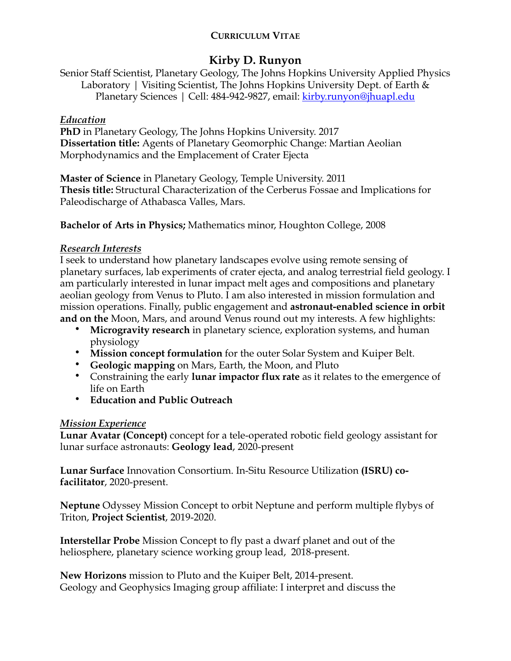### **CURRICULUM VITAE**

# **Kirby D. Runyon**

Senior Staff Scientist, Planetary Geology, The Johns Hopkins University Applied Physics Laboratory | Visiting Scientist, The Johns Hopkins University Dept. of Earth & Planetary Sciences | Cell: 484-942-9827, email: [kirby.runyon@jhuapl.edu](mailto:kirby.runyon@jhuapl.edu)

### *Education*

**PhD** in Planetary Geology, The Johns Hopkins University. 2017 **Dissertation title:** Agents of Planetary Geomorphic Change: Martian Aeolian Morphodynamics and the Emplacement of Crater Ejecta

**Master of Science** in Planetary Geology, Temple University. 2011 **Thesis title:** Structural Characterization of the Cerberus Fossae and Implications for Paleodischarge of Athabasca Valles, Mars.

**Bachelor of Arts in Physics;** Mathematics minor, Houghton College, 2008

## *Research Interests*

I seek to understand how planetary landscapes evolve using remote sensing of planetary surfaces, lab experiments of crater ejecta, and analog terrestrial field geology. I am particularly interested in lunar impact melt ages and compositions and planetary aeolian geology from Venus to Pluto. I am also interested in mission formulation and mission operations. Finally, public engagement and **astronaut-enabled science in orbit and on the** Moon, Mars, and around Venus round out my interests. A few highlights:

- **Microgravity research** in planetary science, exploration systems, and human physiology
- **Mission concept formulation** for the outer Solar System and Kuiper Belt.
- **Geologic mapping** on Mars, Earth, the Moon, and Pluto
- Constraining the early **lunar impactor flux rate** as it relates to the emergence of life on Earth
- **Education and Public Outreach**

## *Mission Experience*

**Lunar Avatar (Concept)** concept for a tele-operated robotic field geology assistant for lunar surface astronauts: **Geology lead**, 2020-present

**Lunar Surface** Innovation Consortium. In-Situ Resource Utilization **(ISRU) cofacilitator**, 2020-present.

**Neptune** Odyssey Mission Concept to orbit Neptune and perform multiple flybys of Triton, **Project Scientist**, 2019-2020.

**Interstellar Probe** Mission Concept to fly past a dwarf planet and out of the heliosphere, planetary science working group lead, 2018-present.

**New Horizons** mission to Pluto and the Kuiper Belt, 2014-present. Geology and Geophysics Imaging group affiliate: I interpret and discuss the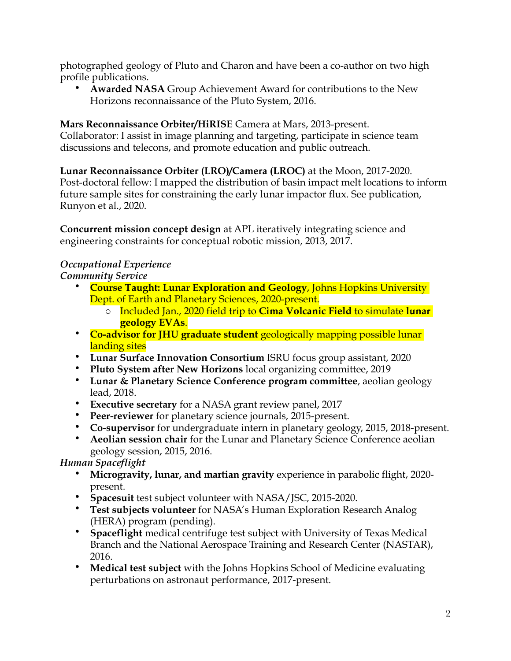photographed geology of Pluto and Charon and have been a co-author on two high profile publications.

• **Awarded NASA** Group Achievement Award for contributions to the New Horizons reconnaissance of the Pluto System, 2016.

**Mars Reconnaissance Orbiter/HiRISE** Camera at Mars, 2013-present. Collaborator: I assist in image planning and targeting, participate in science team discussions and telecons, and promote education and public outreach.

**Lunar Reconnaissance Orbiter (LRO)/Camera (LROC)** at the Moon, 2017-2020. Post-doctoral fellow: I mapped the distribution of basin impact melt locations to inform future sample sites for constraining the early lunar impactor flux. See publication, Runyon et al., 2020.

**Concurrent mission concept design** at APL iteratively integrating science and engineering constraints for conceptual robotic mission, 2013, 2017.

## *Occupational Experience*

*Community Service*

- **Course Taught: Lunar Exploration and Geology**, Johns Hopkins University Dept. of Earth and Planetary Sciences, 2020-present.
	- o Included Jan., 2020 field trip to **Cima Volcanic Field** to simulate **lunar geology EVAs**.
- **Co-advisor for JHU graduate student** geologically mapping possible lunar landing sites
- **Lunar Surface Innovation Consortium** ISRU focus group assistant, 2020
- **Pluto System after New Horizons** local organizing committee, 2019
- **Lunar & Planetary Science Conference program committee**, aeolian geology lead, 2018.
- **Executive secretary** for a NASA grant review panel, 2017
- **Peer-reviewer** for planetary science journals, 2015-present.
- **Co-supervisor** for undergraduate intern in planetary geology, 2015, 2018-present.
- **Aeolian session chair** for the Lunar and Planetary Science Conference aeolian geology session, 2015, 2016.

## *Human Spaceflight*

- **Microgravity, lunar, and martian gravity** experience in parabolic flight, 2020 present.
- **Spacesuit** test subject volunteer with NASA/JSC, 2015-2020.
- **Test subjects volunteer** for NASA's Human Exploration Research Analog (HERA) program (pending).
- **Spaceflight** medical centrifuge test subject with University of Texas Medical Branch and the National Aerospace Training and Research Center (NASTAR), 2016.
- **Medical test subject** with the Johns Hopkins School of Medicine evaluating perturbations on astronaut performance, 2017-present.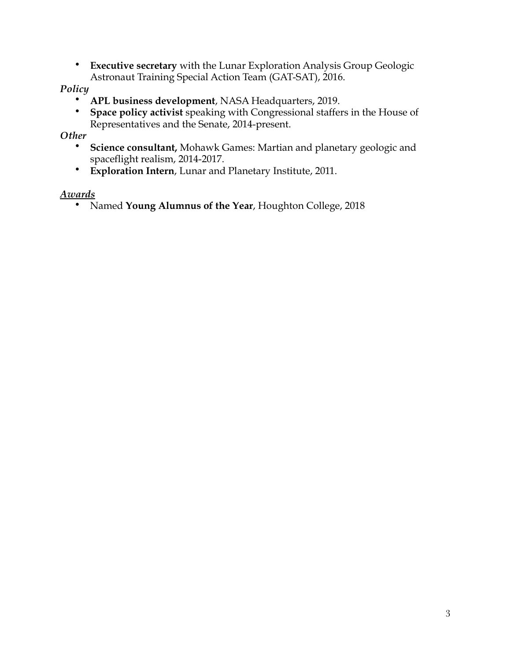• **Executive secretary** with the Lunar Exploration Analysis Group Geologic Astronaut Training Special Action Team (GAT-SAT), 2016.

*Policy*

- **APL business development**, NASA Headquarters, 2019.
- **Space policy activist** speaking with Congressional staffers in the House of Representatives and the Senate, 2014-present.

*Other*

- **Science consultant,** Mohawk Games: Martian and planetary geologic and spaceflight realism, 2014-2017.
- **Exploration Intern**, Lunar and Planetary Institute, 2011.

#### *Awards*

• Named **Young Alumnus of the Year**, Houghton College, 2018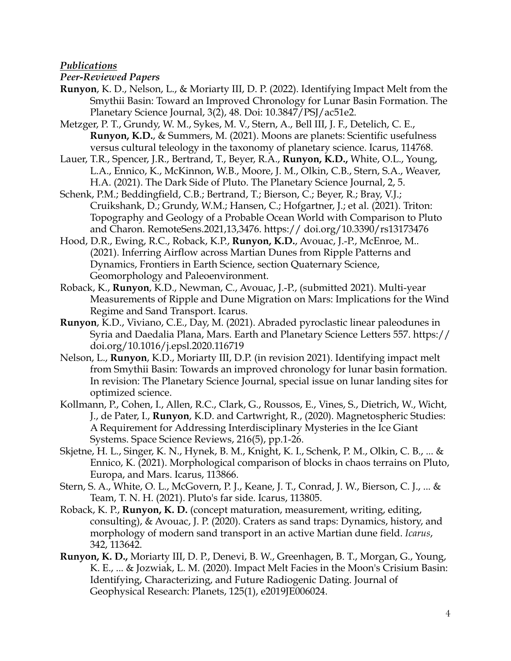#### *Publications*

#### *Peer-Reviewed Papers*

- **Runyon**, K. D., Nelson, L., & Moriarty III, D. P. (2022). Identifying Impact Melt from the Smythii Basin: Toward an Improved Chronology for Lunar Basin Formation. The Planetary Science Journal, 3(2), 48. Doi: 10.3847/PSJ/ac51e2.
- Metzger, P. T., Grundy, W. M., Sykes, M. V., Stern, A., Bell III, J. F., Detelich, C. E., **Runyon, K.D.**, & Summers, M. (2021). Moons are planets: Scientific usefulness versus cultural teleology in the taxonomy of planetary science. Icarus, 114768.
- Lauer, T.R., Spencer, J.R., Bertrand, T., Beyer, R.A., **Runyon, K.D.,** White, O.L., Young, L.A., Ennico, K., McKinnon, W.B., Moore, J. M., Olkin, C.B., Stern, S.A., Weaver, H.A. (2021). The Dark Side of Pluto. The Planetary Science Journal, 2, 5.
- Schenk, P.M.; Beddingfield, C.B.; Bertrand, T.; Bierson, C.; Beyer, R.; Bray, V.J.; Cruikshank, D.; Grundy, W.M.; Hansen, C.; Hofgartner, J.; et al. (2021). Triton: Topography and Geology of a Probable Ocean World with Comparison to Pluto and Charon. RemoteSens.2021,13,3476. https:// doi.org/10.3390/rs13173476
- Hood, D.R., Ewing, R.C., Roback, K.P., **Runyon, K.D.**, Avouac, J.-P., McEnroe, M.. (2021). Inferring Airflow across Martian Dunes from Ripple Patterns and Dynamics, Frontiers in Earth Science, section Quaternary Science, Geomorphology and Paleoenvironment.
- Roback, K., **Runyon**, K.D., Newman, C., Avouac, J.-P., (submitted 2021). Multi-year Measurements of Ripple and Dune Migration on Mars: Implications for the Wind Regime and Sand Transport. Icarus.
- **Runyon**, K.D., Viviano, C.E., Day, M. (2021). Abraded pyroclastic linear paleodunes in Syria and Daedalia Plana, Mars. Earth and Planetary Science Letters 557. https:// doi.org/10.1016/j.epsl.2020.116719
- Nelson, L., **Runyon**, K.D., Moriarty III, D.P. (in revision 2021). Identifying impact melt from Smythii Basin: Towards an improved chronology for lunar basin formation. In revision: The Planetary Science Journal, special issue on lunar landing sites for optimized science.
- Kollmann, P., Cohen, I., Allen, R.C., Clark, G., Roussos, E., Vines, S., Dietrich, W., Wicht, J., de Pater, I., **Runyon**, K.D. and Cartwright, R., (2020). Magnetospheric Studies: A Requirement for Addressing Interdisciplinary Mysteries in the Ice Giant Systems. Space Science Reviews, 216(5), pp.1-26.
- Skjetne, H. L., Singer, K. N., Hynek, B. M., Knight, K. I., Schenk, P. M., Olkin, C. B., ... & Ennico, K. (2021). Morphological comparison of blocks in chaos terrains on Pluto, Europa, and Mars. Icarus, 113866.
- Stern, S. A., White, O. L., McGovern, P. J., Keane, J. T., Conrad, J. W., Bierson, C. J., ... & Team, T. N. H. (2021). Pluto's far side. Icarus, 113805.
- Roback, K. P., **Runyon, K. D.** (concept maturation, measurement, writing, editing, consulting), & Avouac, J. P. (2020). Craters as sand traps: Dynamics, history, and morphology of modern sand transport in an active Martian dune field. *Icarus*, 342, 113642.
- **Runyon, K. D.,** Moriarty III, D. P., Denevi, B. W., Greenhagen, B. T., Morgan, G., Young, K. E., ... & Jozwiak, L. M. (2020). Impact Melt Facies in the Moon's Crisium Basin: Identifying, Characterizing, and Future Radiogenic Dating. Journal of Geophysical Research: Planets, 125(1), e2019JE006024.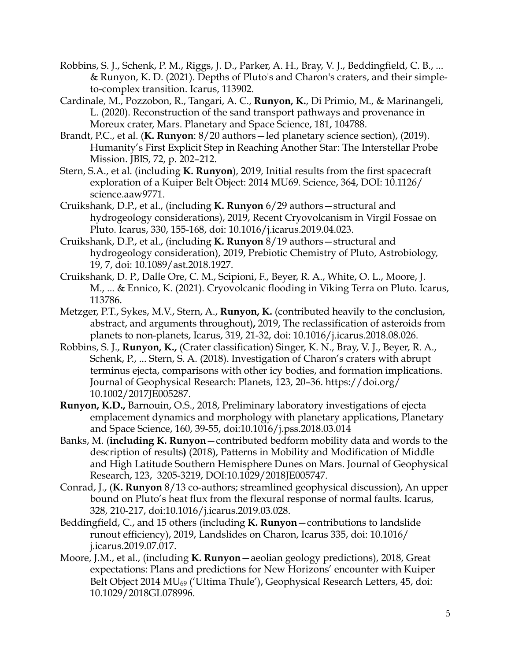- Robbins, S. J., Schenk, P. M., Riggs, J. D., Parker, A. H., Bray, V. J., Beddingfield, C. B., ... & Runyon, K. D. (2021). Depths of Pluto's and Charon's craters, and their simpleto-complex transition. Icarus, 113902.
- Cardinale, M., Pozzobon, R., Tangari, A. C., **Runyon, K.**, Di Primio, M., & Marinangeli, L. (2020). Reconstruction of the sand transport pathways and provenance in Moreux crater, Mars. Planetary and Space Science, 181, 104788.
- Brandt, P.C., et al. (**K. Runyon**: 8/20 authors—led planetary science section), (2019). Humanity's First Explicit Step in Reaching Another Star: The Interstellar Probe Mission. JBIS, 72, p. 202–212.
- Stern, S.A., et al. (including **K. Runyon**), 2019, Initial results from the first spacecraft exploration of a Kuiper Belt Object: 2014 MU69. Science, 364, DOI: 10.1126/ science.aaw9771.
- Cruikshank, D.P., et al., (including **K. Runyon** 6/29 authors—structural and hydrogeology considerations), 2019, Recent Cryovolcanism in Virgil Fossae on Pluto. Icarus, 330, 155-168, doi: 10.1016/j.icarus.2019.04.023.
- Cruikshank, D.P., et al., (including **K. Runyon** 8/19 authors—structural and hydrogeology consideration), 2019, Prebiotic Chemistry of Pluto, Astrobiology, 19, 7, doi: 10.1089/ast.2018.1927.
- Cruikshank, D. P., Dalle Ore, C. M., Scipioni, F., Beyer, R. A., White, O. L., Moore, J. M., ... & Ennico, K. (2021). Cryovolcanic flooding in Viking Terra on Pluto. Icarus, 113786.
- Metzger, P.T., Sykes, M.V., Stern, A., **Runyon, K.** (contributed heavily to the conclusion, abstract, and arguments throughout)**,** 2019, The reclassification of asteroids from planets to non-planets, Icarus, 319, 21-32, doi: 10.1016/j.icarus.2018.08.026.
- Robbins, S. J., **Runyon, K.,** (Crater classification) Singer, K. N., Bray, V. J., Beyer, R. A., Schenk, P., ... Stern, S. A. (2018). Investigation of Charon's craters with abrupt terminus ejecta, comparisons with other icy bodies, and formation implications. Journal of Geophysical Research: Planets, 123, 20–36. https://doi.org/ 10.1002/2017JE005287.
- **Runyon, K.D.,** Barnouin, O.S., 2018, Preliminary laboratory investigations of ejecta emplacement dynamics and morphology with planetary applications, Planetary and Space Science, 160, 39-55, doi:10.1016/j.pss.2018.03.014
- Banks, M. (**including K. Runyon**—contributed bedform mobility data and words to the description of results**)** (2018), Patterns in Mobility and Modification of Middle and High Latitude Southern Hemisphere Dunes on Mars. Journal of Geophysical Research, 123, 3205-3219, DOI:10.1029/2018JE005747.
- Conrad, J., (**K. Runyon** 8/13 co-authors; streamlined geophysical discussion), An upper bound on Pluto's heat flux from the flexural response of normal faults. Icarus, 328, 210-217, doi:10.1016/j.icarus.2019.03.028.
- Beddingfield, C., and 15 others (including **K. Runyon**—contributions to landslide runout efficiency), 2019, Landslides on Charon, Icarus 335, doi: 10.1016/ j.icarus.2019.07.017.
- Moore, J.M., et al., (including **K. Runyon**—aeolian geology predictions), 2018, Great expectations: Plans and predictions for New Horizons' encounter with Kuiper Belt Object 2014 MU<sub>69</sub> ('Ultima Thule'), Geophysical Research Letters, 45, doi: 10.1029/2018GL078996.